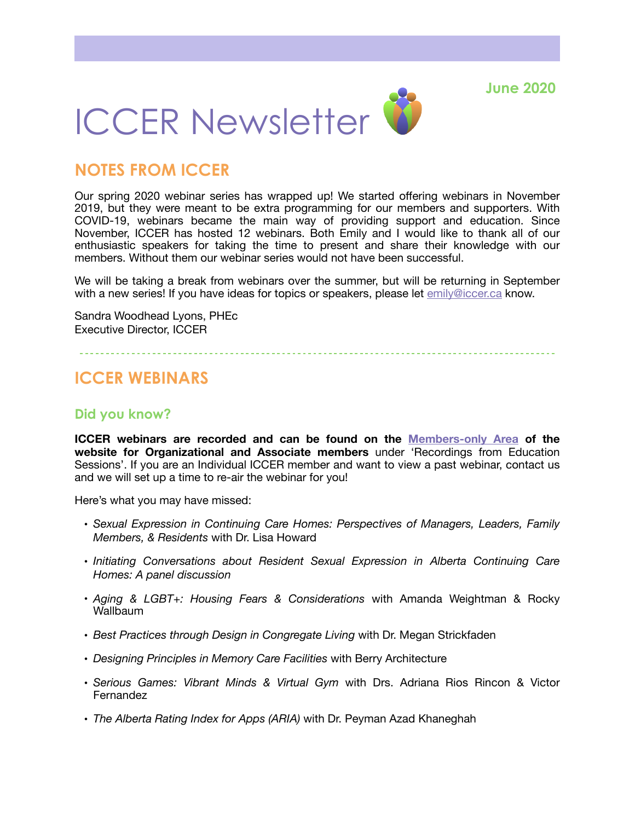**June 2020**



## **NOTES FROM ICCER**

Our spring 2020 webinar series has wrapped up! We started offering webinars in November 2019, but they were meant to be extra programming for our members and supporters. With COVID-19, webinars became the main way of providing support and education. Since November, ICCER has hosted 12 webinars. Both Emily and I would like to thank all of our enthusiastic speakers for taking the time to present and share their knowledge with our members. Without them our webinar series would not have been successful.

We will be taking a break from webinars over the summer, but will be returning in September with a new series! If you have ideas for topics or speakers, please let [emily@iccer.ca](mailto:emily@iccer.ca) know.

Sandra Woodhead Lyons, PHEc Executive Director, ICCER

## **ICCER WEBINARS**

### **Did you know?**

**ICCER webinars are recorded and can be found on the [Members-only Area](http://iccer.ca/members_only.html) of the website for Organizational and Associate members** under 'Recordings from Education Sessions'. If you are an Individual ICCER member and want to view a past webinar, contact us and we will set up a time to re-air the webinar for you!

Here's what you may have missed:

- *Sexual Expression in Continuing Care Homes: Perspectives of Managers, Leaders, Family Members, & Residents* with Dr. Lisa Howard
- *Initiating Conversations about Resident Sexual Expression in Alberta Continuing Care Homes: A panel discussion*
- *Aging & LGBT+: Housing Fears & Considerations* with Amanda Weightman & Rocky **Wallbaum**
- *Best Practices through Design in Congregate Living* with Dr. Megan Strickfaden
- *Designing Principles in Memory Care Facilities* with Berry Architecture
- *Serious Games: Vibrant Minds & Virtual Gym* with Drs. Adriana Rios Rincon & Victor Fernandez
- *The Alberta Rating Index for Apps (ARIA)* with Dr. Peyman Azad Khaneghah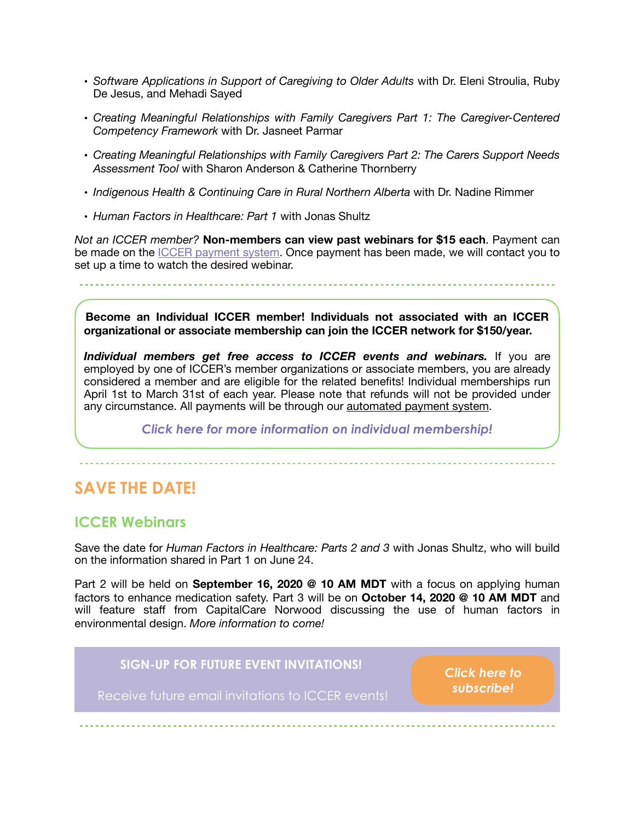- *Software Applications in Support of Caregiving to Older Adults* with Dr. Eleni Stroulia, Ruby De Jesus, and Mehadi Sayed
- *Creating Meaningful Relationships with Family Caregivers Part 1: The Caregiver-Centered Competency Framework* with Dr. Jasneet Parmar
- *Creating Meaningful Relationships with Family Caregivers Part 2: The Carers Support Needs Assessment Tool* with Sharon Anderson & Catherine Thornberry
- *Indigenous Health & Continuing Care in Rural Northern Alberta* with Dr. Nadine Rimmer
- *Human Factors in Healthcare: Part 1* with Jonas Shultz

*Not an ICCER member?* **Non-members can view past webinars for \$15 each**. Payment can be made on the **ICCER** payment system. Once payment has been made, we will contact you to set up a time to watch the desired webinar.

**Become an Individual ICCER member! Individuals not associated with an ICCER organizational or associate membership can join the ICCER network for \$150/year.** 

*Individual members get free access to ICCER events and webinars.* If you are employed by one of ICCER's member organizations or associate members, you are already considered a member and are eligible for the related benefits! Individual memberships run April 1st to March 31st of each year. Please note that refunds will not be provided under any circumstance. All payments will be through our [automated payment system.](https://payment.augustana.ualberta.ca/store/Rehab+Medicine+-+ICCER+Store/)

*[Click here for more information on individual membership!](http://iccer.ca/im.html)* 

# **SAVE THE DATE!**

### **ICCER Webinars**

Save the date for *Human Factors in Healthcare: Parts 2 and 3* with Jonas Shultz, who will build on the information shared in Part 1 on June 24.

Part 2 will be held on **September 16, 2020 @ 10 AM MDT** with a focus on applying human factors to enhance medication safety. Part 3 will be on **October 14, 2020 @ 10 AM MDT** and will feature staff from CapitalCare Norwood discussing the use of human factors in environmental design. *More information to come!*

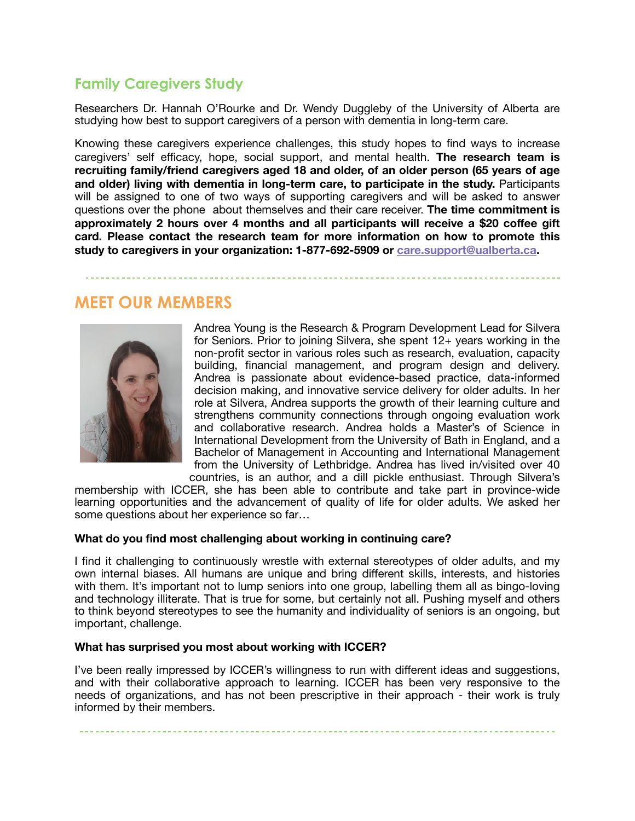## **Family Caregivers Study**

Researchers Dr. Hannah O'Rourke and Dr. Wendy Duggleby of the University of Alberta are studying how best to support caregivers of a person with dementia in long-term care.

Knowing these caregivers experience challenges, this study hopes to find ways to increase caregivers' self efficacy, hope, social support, and mental health. **The research team is recruiting family/friend caregivers aged 18 and older, of an older person (65 years of age and older) living with dementia in long-term care, to participate in the study.** Participants will be assigned to one of two ways of supporting caregivers and will be asked to answer questions over the phone about themselves and their care receiver. **The time commitment is approximately 2 hours over 4 months and all participants will receive a \$20 coffee gift card. Please contact the research team for more information on how to promote this study to caregivers in your organization: 1-877-692-5909 or [care.support@ualberta.ca.](mailto:care.support@ualberta.ca)**

# **MEET OUR MEMBERS**



Andrea Young is the Research & Program Development Lead for Silvera for Seniors. Prior to joining Silvera, she spent 12+ years working in the non-profit sector in various roles such as research, evaluation, capacity building, financial management, and program design and delivery. Andrea is passionate about evidence-based practice, data-informed decision making, and innovative service delivery for older adults. In her role at Silvera, Andrea supports the growth of their learning culture and strengthens community connections through ongoing evaluation work and collaborative research. Andrea holds a Master's of Science in International Development from the University of Bath in England, and a Bachelor of Management in Accounting and International Management from the University of Lethbridge. Andrea has lived in/visited over 40 countries, is an author, and a dill pickle enthusiast. Through Silvera's

membership with ICCER, she has been able to contribute and take part in province-wide learning opportunities and the advancement of quality of life for older adults. We asked her some questions about her experience so far…

#### **What do you find most challenging about working in continuing care?**

I find it challenging to continuously wrestle with external stereotypes of older adults, and my own internal biases. All humans are unique and bring different skills, interests, and histories with them. It's important not to lump seniors into one group, labelling them all as bingo-loving and technology illiterate. That is true for some, but certainly not all. Pushing myself and others to think beyond stereotypes to see the humanity and individuality of seniors is an ongoing, but important, challenge.

#### **What has surprised you most about working with ICCER?**

I've been really impressed by ICCER's willingness to run with different ideas and suggestions, and with their collaborative approach to learning. ICCER has been very responsive to the needs of organizations, and has not been prescriptive in their approach - their work is truly informed by their members.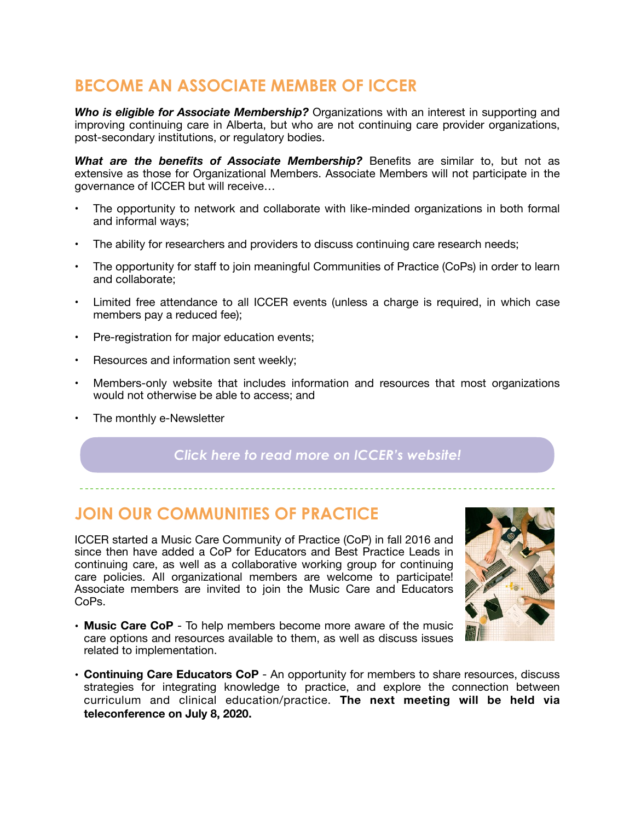# **BECOME AN ASSOCIATE MEMBER OF ICCER**

*Who is eligible for Associate Membership?* Organizations with an interest in supporting and improving continuing care in Alberta, but who are not continuing care provider organizations, post-secondary institutions, or regulatory bodies.

*What are the benefits of Associate Membership?* Benefits are similar to, but not as extensive as those for Organizational Members. Associate Members will not participate in the governance of ICCER but will receive…

- The opportunity to network and collaborate with like-minded organizations in both formal and informal ways;
- The ability for researchers and providers to discuss continuing care research needs;
- The opportunity for staff to join meaningful Communities of Practice (CoPs) in order to learn and collaborate;
- Limited free attendance to all ICCER events (unless a charge is required, in which case members pay a reduced fee);
- Pre-registration for major education events;
- Resources and information sent weekly;
- Members-only website that includes information and resources that most organizations would not otherwise be able to access; and
- The monthly e-Newsletter

### *[Click here to read more on ICCER's website!](http://iccer.ca/am.html)*

## **JOIN OUR COMMUNITIES OF PRACTICE**

ICCER started a Music Care Community of Practice (CoP) in fall 2016 and since then have added a CoP for Educators and Best Practice Leads in continuing care, as well as a collaborative working group for continuing care policies. All organizational members are welcome to participate! Associate members are invited to join the Music Care and Educators CoPs.



- **Music Care CoP** To help members become more aware of the music care options and resources available to them, as well as discuss issues related to implementation.
- **Continuing Care Educators CoP** An opportunity for members to share resources, discuss strategies for integrating knowledge to practice, and explore the connection between curriculum and clinical education/practice. **The next meeting will be held via teleconference on July 8, 2020.**